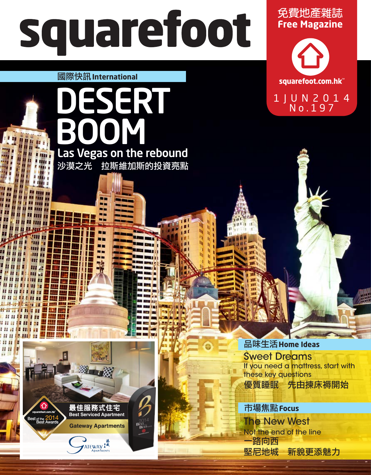# squarefoot

#### 國際快訊**International**

P) Im.

m m m m

मा

HП 44

**M 411 411 1** 

图 照照 照 &

ar.

Best of the 2014

1111 11

12.111.12

**HH HH HH** 

44 III

**SEE** 

**Best Serviced Apartment**

**Gateway Apartments** 

**J**<br>ATEWAY<sup>義威</sup>

最佳服務式住宅

## 沙漠之光 拉斯維加斯的投資亮點 DESERT BOOM Las Vegas on the rebound

4

тC

ш

**Free Magazine**  免費地產雜誌



1JUN2014 No.197

Sweet Dreams If you need a mattress, start with these key questions 優質睡眠 先由揀床褥開始 品味生活**Home Ideas**

### 市場焦點**Focus** The New West Not the end of the line 一路向西

堅尼地城 新貌更添魅力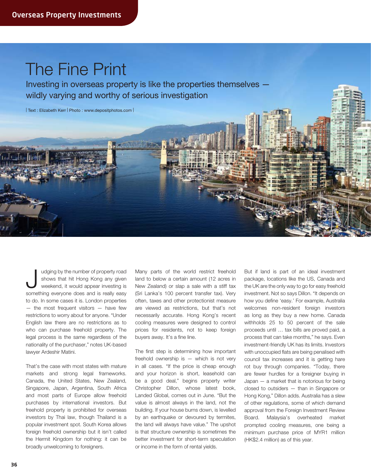## The Fine Print

Investing in overseas property is like the properties themselves wildly varying and worthy of serious investigation

| Text : Elizabeth Kerr | Photo : www.depositphotos.com |

udging by the number of property road shows that hit Hong Kong any given weekend, it would appear investing is something everyone does and is really easy to do. In some cases it is. London properties  $-$  the most frequent visitors  $-$  have few restrictions to worry about for anyone. "Under English law there are no restrictions as to who can purchase freehold property. The legal process is the same regardless of the nationality of the purchaser," notes UK-based lawyer Ardeshir Matini.

That's the case with most states with mature markets and strong legal frameworks. Canada, the United States, New Zealand, Singapore, Japan, Argentina, South Africa and most parts of Europe allow freehold purchases by international investors. But freehold property is prohibited for overseas investors by Thai law, though Thailand is a popular investment spot. South Korea allows foreign freehold ownership but it isn't called the Hermit Kingdom for nothing: it can be broadly unwelcoming to foreigners.

Many parts of the world restrict freehold land to below a certain amount (12 acres in New Zealand) or slap a sale with a stiff tax (Sri Lanka's 100 percent transfer tax). Very often, taxes and other protectionist measure are viewed as restrictions, but that's not necessarily accurate. Hong Kong's recent cooling measures were designed to control prices for residents, not to keep foreign buyers away. It's a fine line.

The first step is determining how important freehold ownership is — which is not very in all cases. "If the price is cheap enough and your horizon is short, leasehold can be a good deal," begins property writer Christopher Dillon, whose latest book, Landed Global, comes out in June. "But the value is almost always in the land, not the building. If your house burns down, is levelled by an earthquake or devoured by termites, the land will always have value." The upshot is that structure ownership is sometimes the better investment for short-term speculation or income in the form of rental yields.

But if land is part of an ideal investment package, locations like the US, Canada and the UK are the only way to go for easy freehold investment. Not so says Dillon. "It depends on how you define 'easy.' For example, Australia welcomes non-resident foreign investors as long as they buy a new home. Canada withholds 25 to 50 percent of the sale proceeds until … tax bills are proved paid, a process that can take months," he says. Even investment-friendly UK has its limits. Investors with unoccupied flats are being penalised with council tax increases and it is getting hare rot buy through companies. "Today, there are fewer hurdles for a foreigner buying in Japan — a market that is notorious for being closed to outsiders — than in Singapore or Hong Kong," Dillon adds. Australia has a slew of other regulations, some of which demand approval from the Foreign Investment Review Board. Malaysia's overheated market prompted cooling measures, one being a minimum purchase price of MYR1 million (HK\$2.4 million) as of this year.